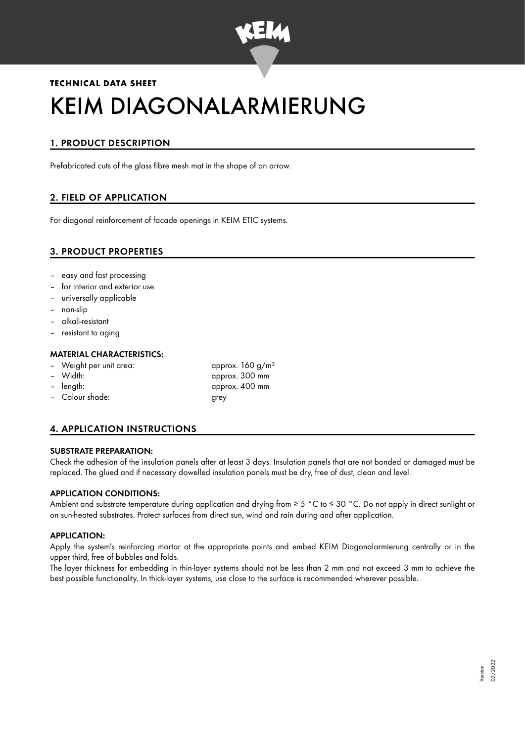

# **TECHNICAL DATA SHEET** KEIM DIAGONALARMIERUNG

# 1. PRODUCT DESCRIPTION

Prefabricated cuts of the glass fibre mesh mat in the shape of an arrow.

# 2. FIELD OF APPLICATION

For diagonal reinforcement of facade openings in KEIM ETIC systems.

# 3. PRODUCT PROPERTIES

- easy and fast processing
- for interior and exterior use
- universally applicable
- non-slip
- alkali-resistant
- resistant to aging

## MATERIAL CHARACTERISTICS:

- Weight per unit area:  $\frac{160 \text{ g/m}^2}{2}$
- 
- 
- Colour shade: grey
- Width: approx. 300 mm – length: approx. 400 mm

# 4. APPLICATION INSTRUCTIONS

## SUBSTRATE PREPARATION:

Check the adhesion of the insulation panels after at least 3 days. Insulation panels that are not bonded or damaged must be replaced. The glued and if necessary dowelled insulation panels must be dry, free of dust, clean and level.

## APPLICATION CONDITIONS:

Ambient and substrate temperature during application and drying from ≥ 5 °C to ≤ 30 °C. Do not apply in direct sunlight or on sun-heated substrates. Protect surfaces from direct sun, wind and rain during and after application.

#### APPLICATION:

Apply the system's reinforcing mortar at the appropriate points and embed KEIM Diagonalarmierung centrally or in the upper third, free of bubbles and folds.

The layer thickness for embedding in thin-layer systems should not be less than 2 mm and not exceed 3 mm to achieve the best possible functionality. In thick-layer systems, use close to the surface is recommended wherever possible.